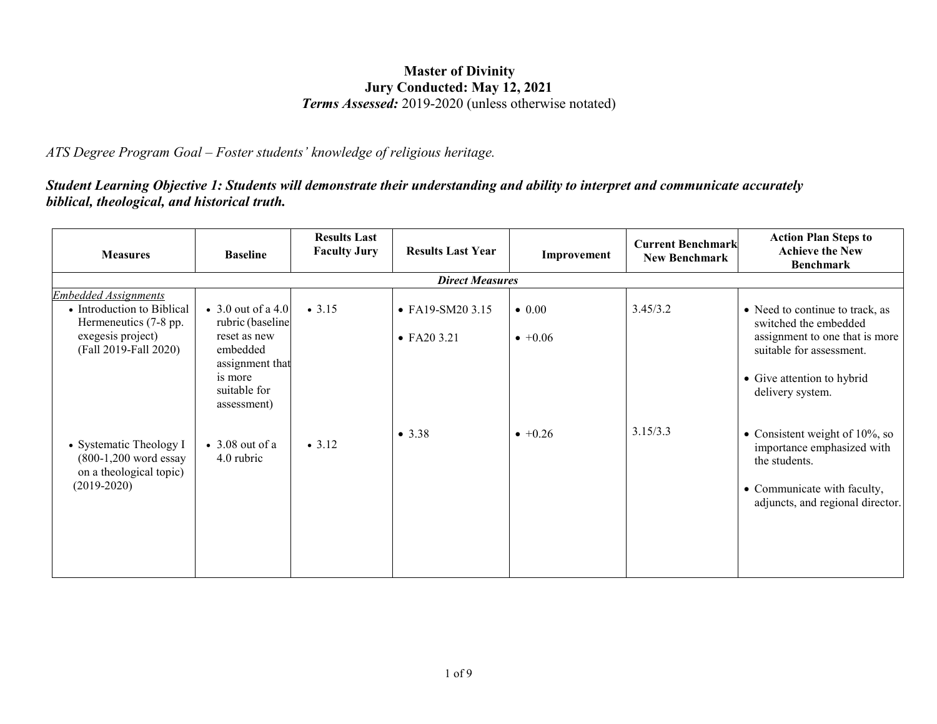## **Master of Divinity Jury Conducted: May 12, 2021** *Terms Assessed:* 2019-2020 (unless otherwise notated)

*ATS Degree Program Goal – Foster students' knowledge of religious heritage.*

*Student Learning Objective 1: Students will demonstrate their understanding and ability to interpret and communicate accurately biblical, theological, and historical truth.*

| <b>Measures</b>                                                                                                                  | <b>Baseline</b>                                                                                          | <b>Results Last</b><br><b>Faculty Jury</b> | <b>Results Last Year</b>                        | Improvement                       | <b>Current Benchmark</b><br>New Benchmark | <b>Action Plan Steps to</b><br><b>Achieve the New</b><br><b>Benchmark</b>                                              |  |  |  |  |
|----------------------------------------------------------------------------------------------------------------------------------|----------------------------------------------------------------------------------------------------------|--------------------------------------------|-------------------------------------------------|-----------------------------------|-------------------------------------------|------------------------------------------------------------------------------------------------------------------------|--|--|--|--|
| <b>Direct Measures</b>                                                                                                           |                                                                                                          |                                            |                                                 |                                   |                                           |                                                                                                                        |  |  |  |  |
| <b>Embedded Assignments</b><br>• Introduction to Biblical<br>Hermeneutics (7-8 pp.<br>exegesis project)<br>(Fall 2019-Fall 2020) | $\bullet$ 3.0 out of a 4.0<br>rubric (baseline<br>reset as new<br>embedded<br>assignment that<br>is more | $\bullet$ 3.15                             | $\bullet$ FA19-SM20 3.15<br>$\bullet$ FA20 3.21 | $\bullet$ 0.00<br>$\bullet +0.06$ | 3.45/3.2                                  | • Need to continue to track, as<br>switched the embedded<br>assignment to one that is more<br>suitable for assessment. |  |  |  |  |
|                                                                                                                                  | suitable for<br>assessment)                                                                              |                                            | • $3.38$                                        | $+0.26$                           | 3.15/3.3                                  | • Give attention to hybrid<br>delivery system.<br>• Consistent weight of $10\%$ , so                                   |  |  |  |  |
| • Systematic Theology I<br>$(800-1,200$ word essay<br>on a theological topic)<br>$(2019-2020)$                                   | $\bullet$ 3.08 out of a<br>4.0 rubric                                                                    | • 3.12                                     |                                                 |                                   |                                           | importance emphasized with<br>the students.<br>• Communicate with faculty,<br>adjuncts, and regional director.         |  |  |  |  |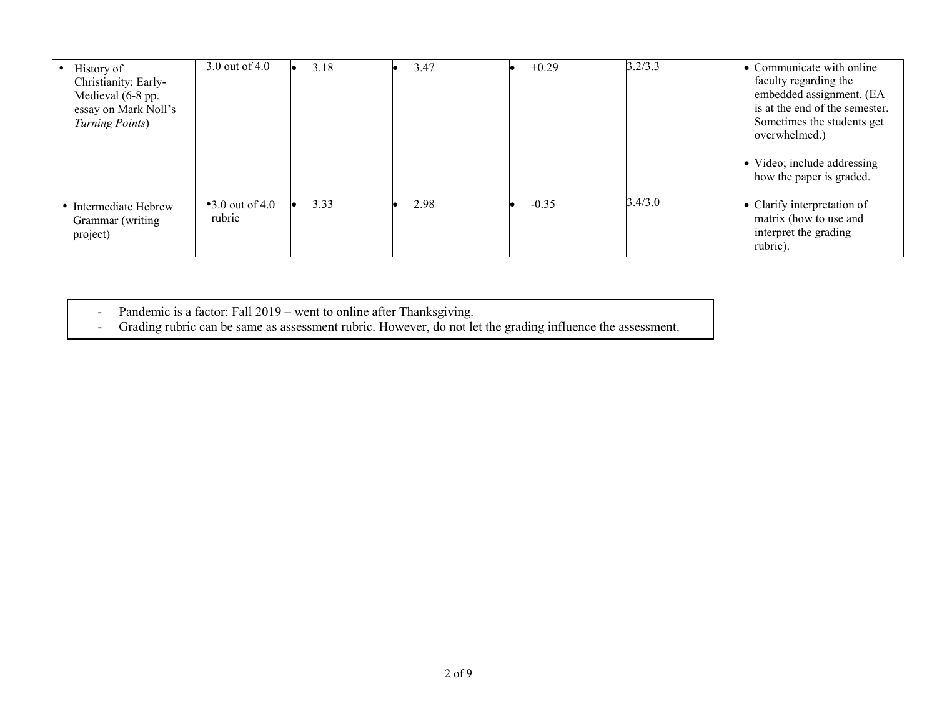| History of<br>Christianity: Early-<br>Medieval (6-8 pp.<br>essay on Mark Noll's<br>Turning Points) | 3.0 out of 4.0                   | 3.18 | 3.47 | $+0.29$ | 3.2/3.3 | • Communicate with online<br>faculty regarding the<br>embedded assignment. (EA<br>is at the end of the semester.<br>Sometimes the students get<br>overwhelmed.) |
|----------------------------------------------------------------------------------------------------|----------------------------------|------|------|---------|---------|-----------------------------------------------------------------------------------------------------------------------------------------------------------------|
|                                                                                                    |                                  |      |      |         |         | • Video; include addressing<br>how the paper is graded.                                                                                                         |
| • Intermediate Hebrew<br>Grammar (writing<br>project)                                              | $\cdot$ 3.0 out of 4.0<br>rubric | 3.33 | 2.98 | $-0.35$ | 3.4/3.0 | • Clarify interpretation of<br>matrix (how to use and<br>interpret the grading<br>rubric).                                                                      |

- Pandemic is a factor: Fall 2019 – went to online after Thanksgiving.

- Grading rubric can be same as assessment rubric. However, do not let the grading influence the assessment.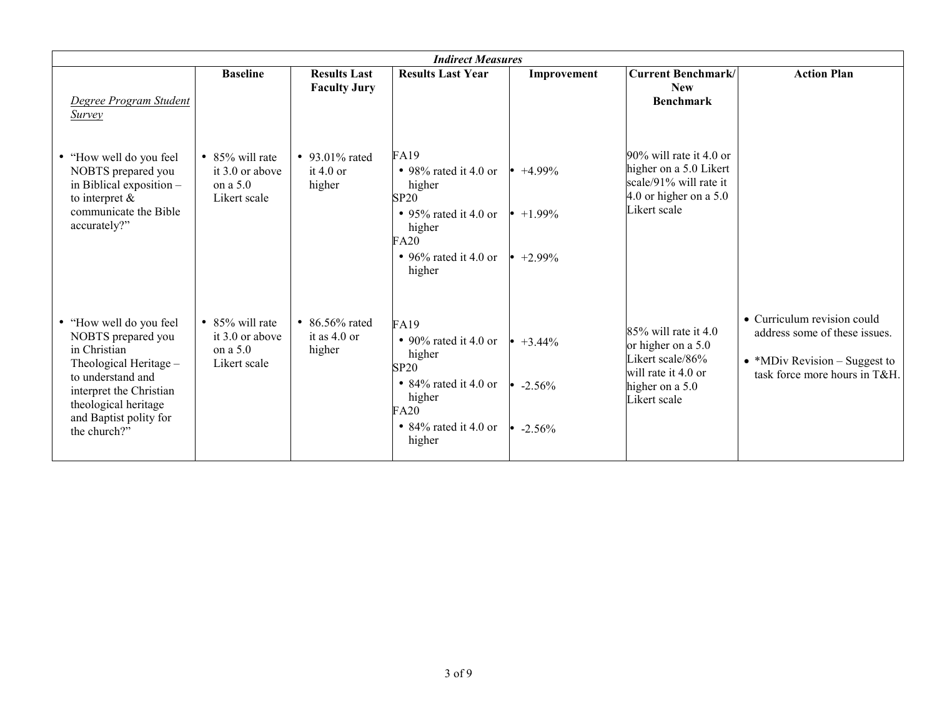| <b>Indirect Measures</b>                                                                                                                                                                                  |                                                                     |                                               |                                                                                                                                                                                            |                  |                                                                                                                             |                                                                                                                                |  |
|-----------------------------------------------------------------------------------------------------------------------------------------------------------------------------------------------------------|---------------------------------------------------------------------|-----------------------------------------------|--------------------------------------------------------------------------------------------------------------------------------------------------------------------------------------------|------------------|-----------------------------------------------------------------------------------------------------------------------------|--------------------------------------------------------------------------------------------------------------------------------|--|
| Degree Program Student<br><b>Survey</b>                                                                                                                                                                   | <b>Baseline</b>                                                     | <b>Results Last</b><br><b>Faculty Jury</b>    | <b>Results Last Year</b>                                                                                                                                                                   | Improvement      | <b>Current Benchmark/</b><br><b>New</b><br><b>Benchmark</b>                                                                 | <b>Action Plan</b>                                                                                                             |  |
| • "How well do you feel<br>NOBTS prepared you<br>in Biblical exposition $-$<br>to interpret $\&$<br>communicate the Bible<br>accurately?"                                                                 | • $85\%$ will rate<br>it $3.0$ or above<br>on a 5.0<br>Likert scale | • 93.01% rated<br>it $4.0$ or<br>higher       | FA19<br>$\bullet$ 98% rated it 4.0 or<br>higher<br><b>SP20</b><br>• 95% rated it 4.0 or $\cdot$ +1.99%<br>higher<br>FA20<br>• 96% rated it 4.0 or $\cdot$ +2.99%<br>higher                 | $\bullet$ +4.99% | $90\%$ will rate it 4.0 or<br>higher on a 5.0 Likert<br>scale/91% will rate it<br>4.0 or higher on a $5.0$<br>Likert scale  |                                                                                                                                |  |
| • "How well do you feel<br>NOBTS prepared you<br>in Christian<br>Theological Heritage -<br>to understand and<br>interpret the Christian<br>theological heritage<br>and Baptist polity for<br>the church?" | • $85\%$ will rate<br>it 3.0 or above<br>on a $5.0$<br>Likert scale | • $86.56\%$ rated<br>it as $4.0$ or<br>higher | <b>FA19</b><br>• 90% rated it 4.0 or $\cdot$ +3.44%<br>higher<br><b>SP20</b><br>• 84% rated it 4.0 or $\cdot$ -2.56%<br>higher<br>FA20<br>• 84% rated it 4.0 or $\bullet$ -2.56%<br>higher |                  | $85\%$ will rate it 4.0<br>or higher on a 5.0<br>Likert scale/86%<br>will rate it 4.0 or<br>higher on a 5.0<br>Likert scale | • Curriculum revision could<br>address some of these issues.<br>• *MDiv Revision – Suggest to<br>task force more hours in T&H. |  |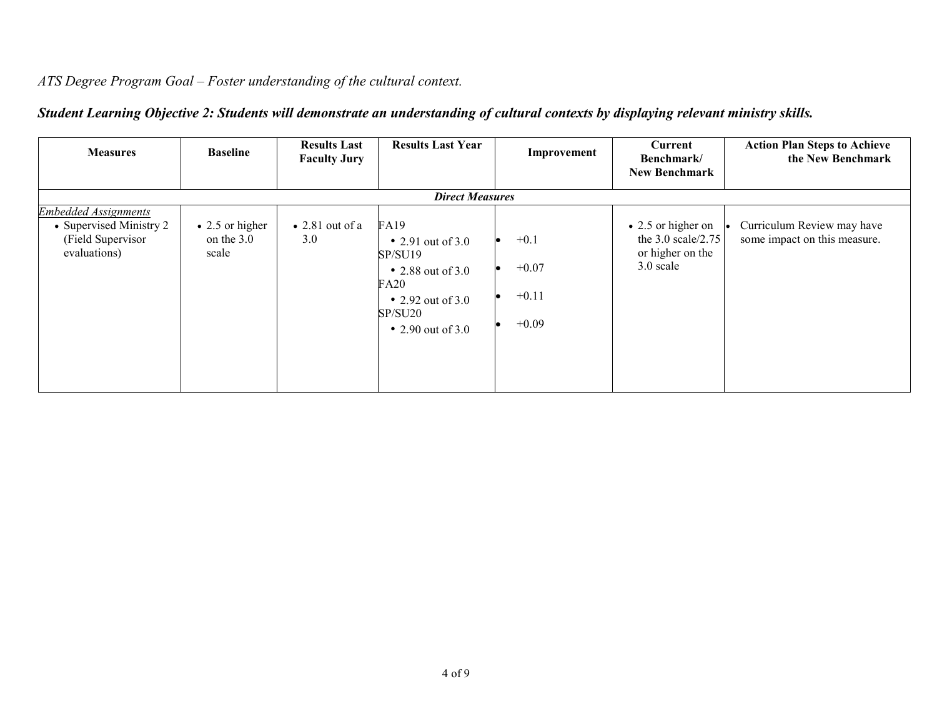## *ATS Degree Program Goal – Foster understanding of the cultural context.*

| <b>Measures</b>                                                                             | <b>Baseline</b>                                | <b>Results Last</b><br><b>Faculty Jury</b> | <b>Results Last Year</b>                                                                                                                           | Improvement                             | Current<br>Benchmark/<br><b>New Benchmark</b>                                       | <b>Action Plan Steps to Achieve</b><br>the New Benchmark   |
|---------------------------------------------------------------------------------------------|------------------------------------------------|--------------------------------------------|----------------------------------------------------------------------------------------------------------------------------------------------------|-----------------------------------------|-------------------------------------------------------------------------------------|------------------------------------------------------------|
|                                                                                             |                                                |                                            | <b>Direct Measures</b>                                                                                                                             |                                         |                                                                                     |                                                            |
| <b>Embedded Assignments</b><br>• Supervised Ministry 2<br>(Field Supervisor<br>evaluations) | $\bullet$ 2.5 or higher<br>on the 3.0<br>scale | $\bullet$ 2.81 out of a<br>3.0             | <b>FA19</b><br>• 2.91 out of $3.0$<br>SP/SU19<br>$\bullet$ 2.88 out of 3.0<br><b>FA20</b><br>• 2.92 out of $3.0$<br>SP/SU20<br>• 2.90 out of $3.0$ | $+0.1$<br>$+0.07$<br>$+0.11$<br>$+0.09$ | $\bullet$ 2.5 or higher on<br>the $3.0$ scale/2.75<br>or higher on the<br>3.0 scale | Curriculum Review may have<br>some impact on this measure. |

## *Student Learning Objective 2: Students will demonstrate an understanding of cultural contexts by displaying relevant ministry skills.*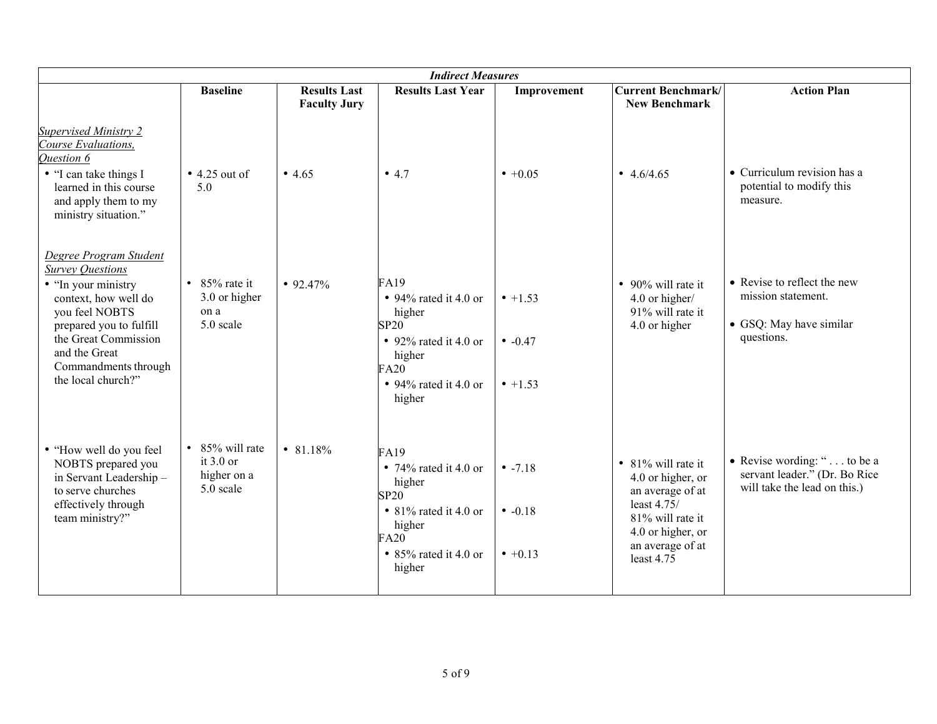| <b>Indirect Measures</b>                                                                                                                                                                                                             |                                                            |                                            |                                                                                                                                             |                                         |                                                                                                                                                       |                                                                                              |  |
|--------------------------------------------------------------------------------------------------------------------------------------------------------------------------------------------------------------------------------------|------------------------------------------------------------|--------------------------------------------|---------------------------------------------------------------------------------------------------------------------------------------------|-----------------------------------------|-------------------------------------------------------------------------------------------------------------------------------------------------------|----------------------------------------------------------------------------------------------|--|
|                                                                                                                                                                                                                                      | <b>Baseline</b>                                            | <b>Results Last</b><br><b>Faculty Jury</b> | <b>Results Last Year</b>                                                                                                                    | Improvement                             | <b>Current Benchmark/</b><br><b>New Benchmark</b>                                                                                                     | <b>Action Plan</b>                                                                           |  |
| <b>Supervised Ministry 2</b><br>Course Evaluations,<br>Question 6<br>• "I can take things I<br>learned in this course<br>and apply them to my<br>ministry situation."                                                                | $\bullet$ 4.25 out of<br>5.0                               | • 4.65                                     | • 4.7                                                                                                                                       | $• +0.05$                               | • $4.6/4.65$                                                                                                                                          | • Curriculum revision has a<br>potential to modify this<br>measure.                          |  |
| Degree Program Student<br><b>Survey Questions</b><br>• "In your ministry<br>context, how well do<br>you feel NOBTS<br>prepared you to fulfill<br>the Great Commission<br>and the Great<br>Commandments through<br>the local church?" | • $85\%$ rate it<br>3.0 or higher<br>on a<br>5.0 scale     | $\bullet$ 92.47%                           | <b>FA19</b><br>• 94% rated it 4.0 or<br>higher<br><b>SP20</b><br>• 92% rated it 4.0 or<br>higher<br>FA20<br>• 94% rated it 4.0 or<br>higher | $• +1.53$<br>$-0.47$<br>$\cdot$ +1.53   | • $90\%$ will rate it<br>4.0 or higher/<br>91% will rate it<br>4.0 or higher                                                                          | • Revise to reflect the new<br>mission statement.<br>• GSQ: May have similar<br>questions.   |  |
| · "How well do you feel<br>NOBTS prepared you<br>in Servant Leadership-<br>to serve churches<br>effectively through<br>team ministry?"                                                                                               | • 85% will rate<br>it $3.0$ or<br>higher on a<br>5.0 scale | • 81.18%                                   | FA19<br>• 74% rated it 4.0 or<br>higher<br><b>SP20</b><br>• 81% rated it 4.0 or<br>higher<br>FA20<br>• 85% rated it 4.0 or<br>higher        | $-7.18$<br>• $-0.18$<br>$\bullet +0.13$ | • 81% will rate it<br>4.0 or higher, or<br>an average of at<br>least 4.75/<br>81% will rate it<br>4.0 or higher, or<br>an average of at<br>least 4.75 | • Revise wording: " to be a<br>servant leader." (Dr. Bo Rice<br>will take the lead on this.) |  |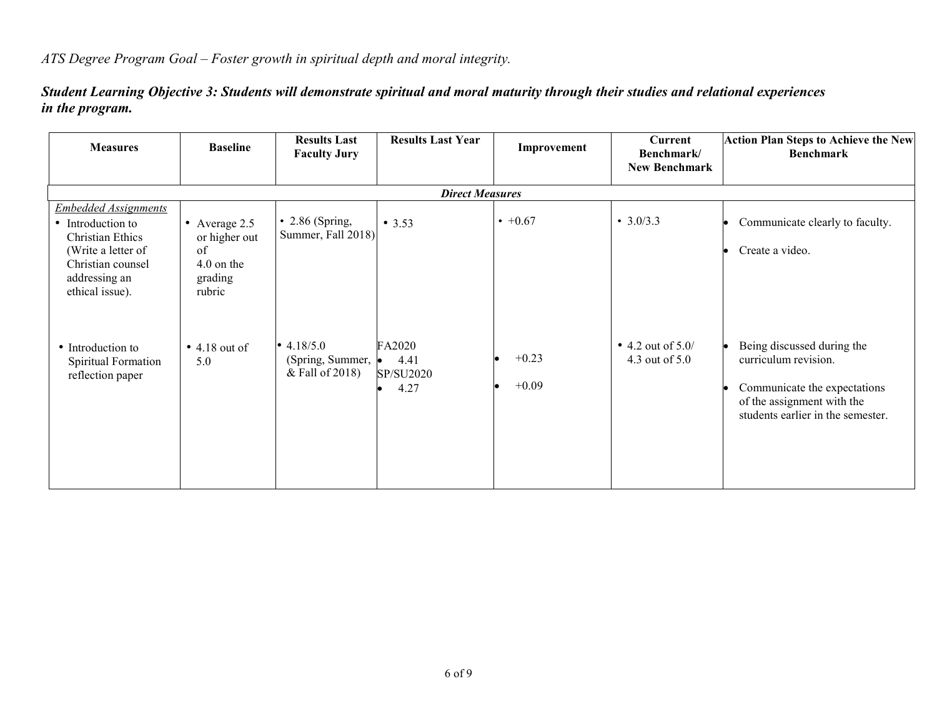*ATS Degree Program Goal – Foster growth in spiritual depth and moral integrity.*

*Student Learning Objective 3: Students will demonstrate spiritual and moral maturity through their studies and relational experiences in the program.*

| <b>Measures</b>                                                                                                                                     | <b>Baseline</b>                                                           | <b>Results Last</b><br><b>Faculty Jury</b>          | <b>Results Last Year</b>            | Improvement        | Current<br>Benchmark/<br><b>New Benchmark</b> | <b>Action Plan Steps to Achieve the New</b><br><b>Benchmark</b>                                                                                       |
|-----------------------------------------------------------------------------------------------------------------------------------------------------|---------------------------------------------------------------------------|-----------------------------------------------------|-------------------------------------|--------------------|-----------------------------------------------|-------------------------------------------------------------------------------------------------------------------------------------------------------|
|                                                                                                                                                     |                                                                           |                                                     | <b>Direct Measures</b>              |                    |                                               |                                                                                                                                                       |
| <b>Embedded Assignments</b><br>• Introduction to<br>Christian Ethics<br>(Write a letter of<br>Christian counsel<br>addressing an<br>ethical issue). | • Average $2.5$<br>or higher out<br>of<br>4.0 on the<br>grading<br>rubric | $\cdot$ 2.86 (Spring,<br>Summer, Fall 2018)         | • 3.53                              | $\cdot$ +0.67      | $\cdot$ 3.0/3.3                               | Communicate clearly to faculty.<br>Create a video.                                                                                                    |
| • Introduction to<br>Spiritual Formation<br>reflection paper                                                                                        | $\bullet$ 4.18 out of<br>5.0                                              | • $4.18/5.0$<br>(Spring, Summer,<br>& Fall of 2018) | FA2020<br>4.41<br>SP/SU2020<br>4.27 | $+0.23$<br>$+0.09$ | • 4.2 out of $5.0/$<br>4.3 out of 5.0         | Being discussed during the<br>curriculum revision.<br>Communicate the expectations<br>of the assignment with the<br>students earlier in the semester. |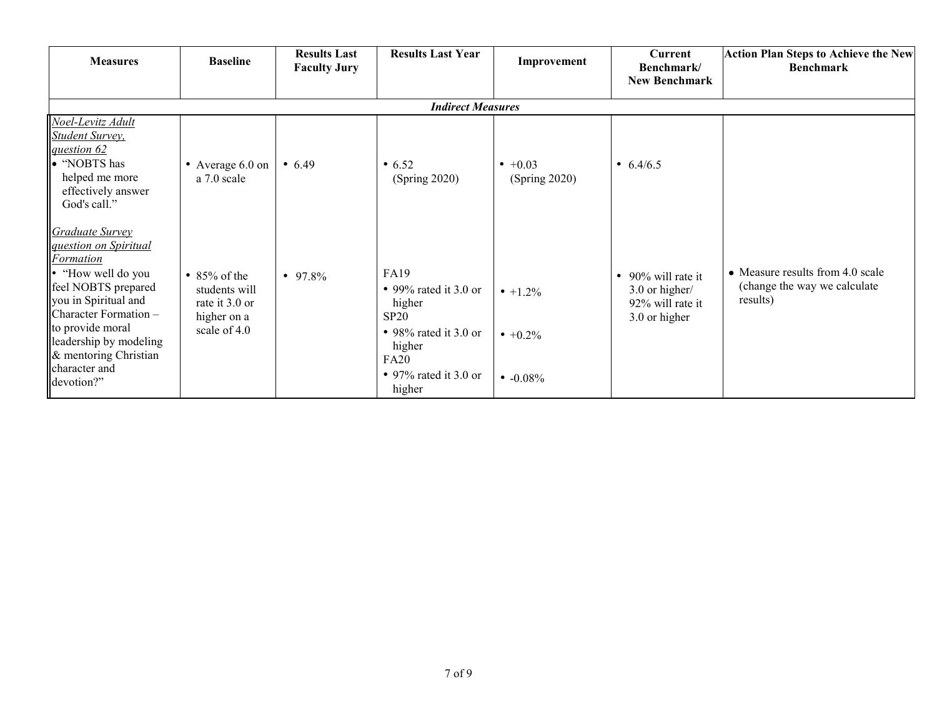| <b>Measures</b>                                                                                                                                                                                                                                                         | <b>Baseline</b>                                                                      | <b>Results Last</b><br><b>Faculty Jury</b> | <b>Results Last Year</b>                                                                                                                    | Improvement                                 | <b>Current</b><br>Benchmark/<br><b>New Benchmark</b>                      | <b>Action Plan Steps to Achieve the New</b><br><b>Benchmark</b>              |  |  |  |  |
|-------------------------------------------------------------------------------------------------------------------------------------------------------------------------------------------------------------------------------------------------------------------------|--------------------------------------------------------------------------------------|--------------------------------------------|---------------------------------------------------------------------------------------------------------------------------------------------|---------------------------------------------|---------------------------------------------------------------------------|------------------------------------------------------------------------------|--|--|--|--|
|                                                                                                                                                                                                                                                                         | <b>Indirect Measures</b>                                                             |                                            |                                                                                                                                             |                                             |                                                                           |                                                                              |  |  |  |  |
| Noel-Levitz Adult<br><b>Student Survey</b> ,<br>question 62<br>• "NOBTS has<br>helped me more<br>effectively answer<br>God's call."                                                                                                                                     | • Average 6.0 on<br>a 7.0 scale                                                      | • 6.49                                     | • 6.52<br>(Spring 2020)                                                                                                                     | $\bullet +0.03$<br>(Spring 2020)            | • $6.4/6.5$                                                               |                                                                              |  |  |  |  |
| Graduate Survey<br><i>guestion on Spiritual</i><br><b>Formation</b><br>• "How well do you<br>feel NOBTS prepared<br>you in Spiritual and<br>Character Formation -<br>to provide moral<br>leadership by modeling<br>& mentoring Christian<br>character and<br>devotion?" | $\cdot$ 85% of the<br>students will<br>rate it 3.0 or<br>higher on a<br>scale of 4.0 | • 97.8%                                    | <b>FA19</b><br>• 99% rated it 3.0 or<br>higher<br>SP20<br>• 98% rated it 3.0 or<br>higher<br><b>FA20</b><br>• 97% rated it 3.0 or<br>higher | $\cdot$ +1.2%<br>$+0.2\%$<br>$\cdot$ -0.08% | • 90% will rate it<br>3.0 or higher/<br>92% will rate it<br>3.0 or higher | • Measure results from 4.0 scale<br>(change the way we calculate<br>results) |  |  |  |  |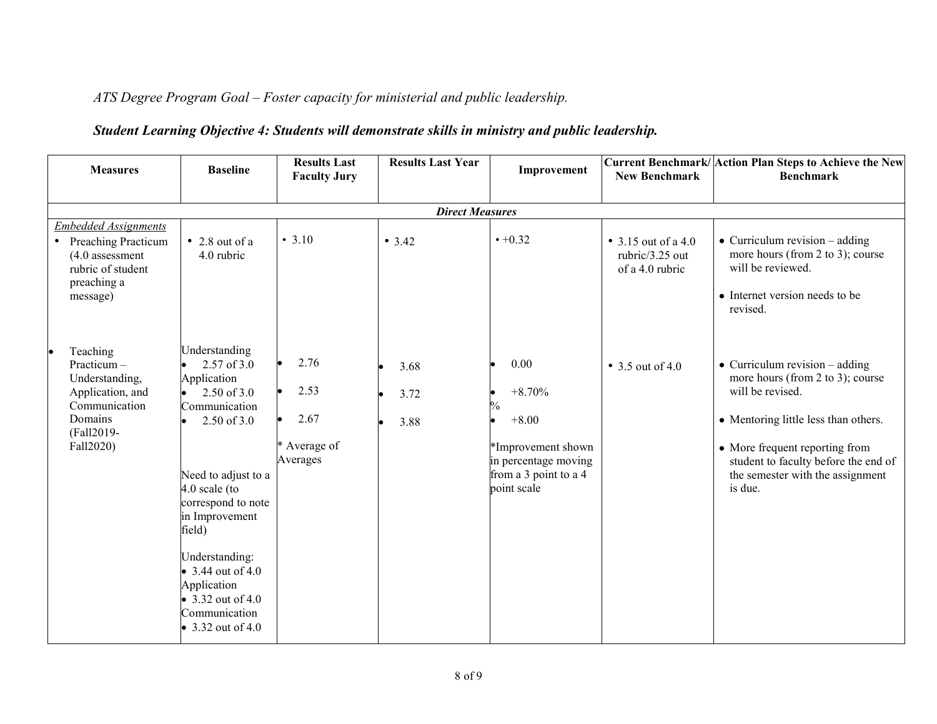*ATS Degree Program Goal – Foster capacity for ministerial and public leadership.*

## *Student Learning Objective 4: Students will demonstrate skills in ministry and public leadership.*

| <b>Measures</b>                                                                                                                | <b>Baseline</b>                                                                                                                                                                                                                                                                                                           | <b>Results Last</b><br><b>Faculty Jury</b>       | <b>Results Last Year</b> | Improvement                                                                                                               | <b>New Benchmark</b>                                              | Current Benchmark/ Action Plan Steps to Achieve the New<br><b>Benchmark</b>                                                                                                                                                                                     |
|--------------------------------------------------------------------------------------------------------------------------------|---------------------------------------------------------------------------------------------------------------------------------------------------------------------------------------------------------------------------------------------------------------------------------------------------------------------------|--------------------------------------------------|--------------------------|---------------------------------------------------------------------------------------------------------------------------|-------------------------------------------------------------------|-----------------------------------------------------------------------------------------------------------------------------------------------------------------------------------------------------------------------------------------------------------------|
|                                                                                                                                |                                                                                                                                                                                                                                                                                                                           |                                                  | <b>Direct Measures</b>   |                                                                                                                           |                                                                   |                                                                                                                                                                                                                                                                 |
| <b>Embedded Assignments</b><br><b>Preaching Practicum</b><br>$(4.0$ assessment<br>rubric of student<br>preaching a<br>message) | $\bullet$ 2.8 out of a<br>4.0 rubric                                                                                                                                                                                                                                                                                      | • 3.10                                           | • 3.42                   | $• +0.32$                                                                                                                 | $\bullet$ 3.15 out of a 4.0<br>rubric/3.25 out<br>of a 4.0 rubric | $\bullet$ Curriculum revision – adding<br>more hours (from 2 to 3); course<br>will be reviewed.<br>• Internet version needs to be<br>revised.                                                                                                                   |
| Teaching<br>$Practicum -$<br>Understanding,<br>Application, and<br>Communication<br>Domains<br>(Fall2019-<br>Fall2020)         | Understanding<br>2.57 of 3.0<br>Application<br>$2.50$ of $3.0$<br>Communication<br>$2.50$ of $3.0$<br>Need to adjust to a<br>$4.0$ scale (to<br>correspond to note<br>in Improvement<br>field)<br>Understanding:<br>• 3.44 out of 4.0<br>Application<br>$\bullet$ 3.32 out of 4.0<br>Communication<br>• $3.32$ out of 4.0 | 2.76<br>2.53<br>2.67<br>* Average of<br>Averages | 3.68<br>3.72<br>3.88     | 0.00<br>$+8.70%$<br>$\%$<br>$+8.00$<br>*Improvement shown<br>in percentage moving<br>from a 3 point to a 4<br>point scale | $\bullet$ 3.5 out of 4.0                                          | $\bullet$ Curriculum revision – adding<br>more hours (from 2 to 3); course<br>will be revised.<br>• Mentoring little less than others.<br>• More frequent reporting from<br>student to faculty before the end of<br>the semester with the assignment<br>is due. |